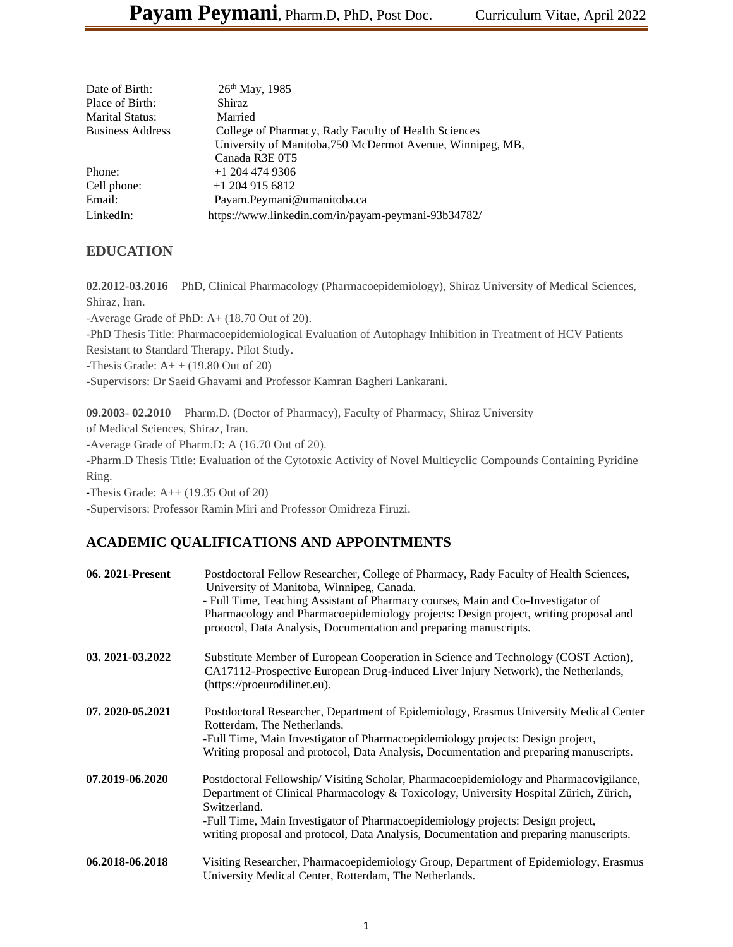| Date of Birth:          | $26th$ May, 1985                                           |
|-------------------------|------------------------------------------------------------|
| Place of Birth:         | Shiraz                                                     |
| Marital Status:         | Married                                                    |
| <b>Business Address</b> | College of Pharmacy, Rady Faculty of Health Sciences       |
|                         | University of Manitoba, 750 McDermot Avenue, Winnipeg, MB, |
|                         | Canada R3E 0T5                                             |
| Phone:                  | $+1$ 204 474 9306                                          |
| Cell phone:             | $+1$ 204 915 6812                                          |
| Email:                  | Payam.Peymani@umanitoba.ca                                 |
| LinkedIn:               | https://www.linkedin.com/in/payam-peymani-93b34782/        |

## **EDUCATION**

**02.2012-03.2016** PhD, Clinical Pharmacology (Pharmacoepidemiology), Shiraz University of Medical Sciences, Shiraz, Iran.

-Average Grade of PhD: A+ (18.70 Out of 20). -PhD Thesis Title: Pharmacoepidemiological Evaluation of Autophagy Inhibition in Treatment of HCV Patients

Resistant to Standard Therapy. Pilot Study.

-Thesis Grade:  $A++(19.80 \text{ Out of } 20)$ 

-Supervisors: Dr Saeid Ghavami and Professor Kamran Bagheri Lankarani.

**09.2003- 02.2010** Pharm.D. (Doctor of Pharmacy), Faculty of Pharmacy, Shiraz University

of Medical Sciences, Shiraz, Iran.

-Average Grade of Pharm.D: A (16.70 Out of 20).

-Pharm.D Thesis Title: Evaluation of the Cytotoxic Activity of Novel Multicyclic Compounds Containing Pyridine Ring.

-Thesis Grade: A++ (19.35 Out of 20)

-Supervisors: Professor Ramin Miri and Professor Omidreza Firuzi.

# **ACADEMIC QUALIFICATIONS AND APPOINTMENTS**

| 06. 2021-Present | Postdoctoral Fellow Researcher, College of Pharmacy, Rady Faculty of Health Sciences,<br>University of Manitoba, Winnipeg, Canada.<br>- Full Time, Teaching Assistant of Pharmacy courses, Main and Co-Investigator of<br>Pharmacology and Pharmacoepidemiology projects: Design project, writing proposal and<br>protocol, Data Analysis, Documentation and preparing manuscripts. |
|------------------|-------------------------------------------------------------------------------------------------------------------------------------------------------------------------------------------------------------------------------------------------------------------------------------------------------------------------------------------------------------------------------------|
| 03.2021-03.2022  | Substitute Member of European Cooperation in Science and Technology (COST Action),<br>CA17112-Prospective European Drug-induced Liver Injury Network), the Netherlands,<br>(https://proeurodilinet.eu).                                                                                                                                                                             |
| 07.2020-05.2021  | Postdoctoral Researcher, Department of Epidemiology, Erasmus University Medical Center<br>Rotterdam, The Netherlands.<br>-Full Time, Main Investigator of Pharmacoepidemiology projects: Design project,<br>Writing proposal and protocol, Data Analysis, Documentation and preparing manuscripts.                                                                                  |
| 07.2019-06.2020  | Postdoctoral Fellowship/Visiting Scholar, Pharmacoepidemiology and Pharmacovigilance,<br>Department of Clinical Pharmacology & Toxicology, University Hospital Zürich, Zürich,<br>Switzerland.<br>-Full Time, Main Investigator of Pharmacoepidemiology projects: Design project,<br>writing proposal and protocol, Data Analysis, Documentation and preparing manuscripts.         |
| 06.2018-06.2018  | Visiting Researcher, Pharmacoepidemiology Group, Department of Epidemiology, Erasmus<br>University Medical Center, Rotterdam, The Netherlands.                                                                                                                                                                                                                                      |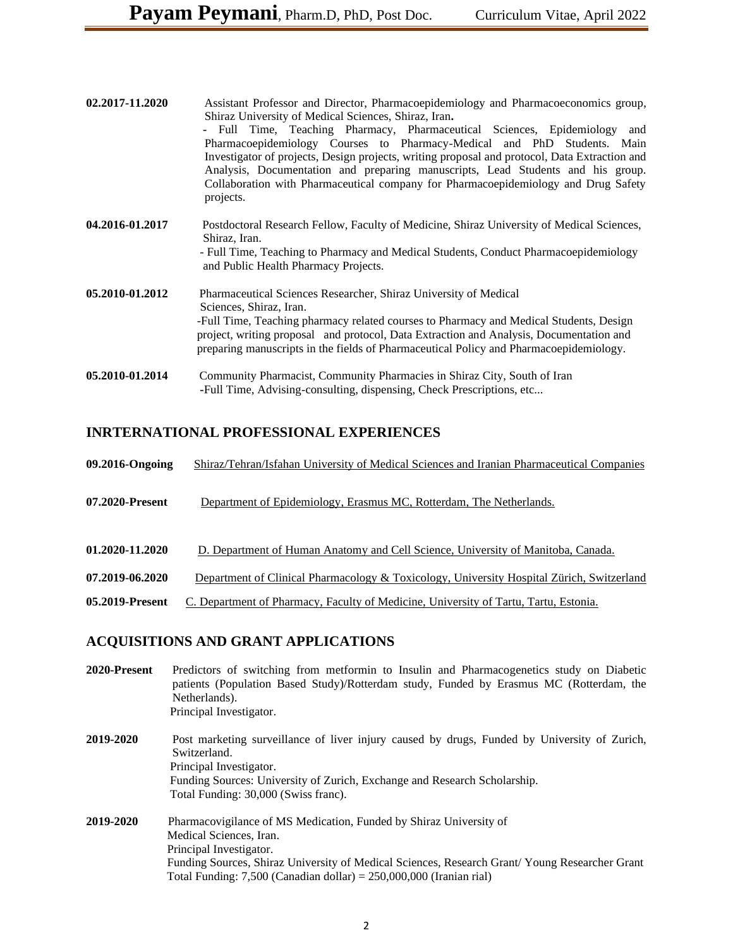| 02.2017-11.2020 | Assistant Professor and Director, Pharmacoepidemiology and Pharmacoeconomics group,<br>Shiraz University of Medical Sciences, Shiraz, Iran.<br>- Full Time, Teaching Pharmacy, Pharmaceutical Sciences, Epidemiology<br>and<br>Pharmacoepidemiology Courses to Pharmacy-Medical and PhD Students. Main<br>Investigator of projects, Design projects, writing proposal and protocol, Data Extraction and<br>Analysis, Documentation and preparing manuscripts, Lead Students and his group.<br>Collaboration with Pharmaceutical company for Pharmacoepidemiology and Drug Safety<br>projects. |
|-----------------|-----------------------------------------------------------------------------------------------------------------------------------------------------------------------------------------------------------------------------------------------------------------------------------------------------------------------------------------------------------------------------------------------------------------------------------------------------------------------------------------------------------------------------------------------------------------------------------------------|
| 04.2016-01.2017 | Postdoctoral Research Fellow, Faculty of Medicine, Shiraz University of Medical Sciences,<br>Shiraz, Iran.<br>- Full Time, Teaching to Pharmacy and Medical Students, Conduct Pharmacoepidemiology<br>and Public Health Pharmacy Projects.                                                                                                                                                                                                                                                                                                                                                    |
| 05.2010-01.2012 | Pharmaceutical Sciences Researcher, Shiraz University of Medical<br>Sciences, Shiraz, Iran.<br>-Full Time, Teaching pharmacy related courses to Pharmacy and Medical Students, Design<br>project, writing proposal and protocol, Data Extraction and Analysis, Documentation and<br>preparing manuscripts in the fields of Pharmaceutical Policy and Pharmacoepidemiology.                                                                                                                                                                                                                    |
| 05.2010-01.2014 | Community Pharmacist, Community Pharmacies in Shiraz City, South of Iran<br>-Full Time, Advising-consulting, dispensing, Check Prescriptions, etc                                                                                                                                                                                                                                                                                                                                                                                                                                             |

## **INRTERNATIONAL PROFESSIONAL EXPERIENCES**

| 09.2016-Ongoing | Shiraz/Tehran/Isfahan University of Medical Sciences and Iranian Pharmaceutical Companies |
|-----------------|-------------------------------------------------------------------------------------------|
| 07.2020-Present | Department of Epidemiology, Erasmus MC, Rotterdam, The Netherlands.                       |
| 01.2020-11.2020 | D. Department of Human Anatomy and Cell Science, University of Manitoba, Canada.          |
| 07.2019-06.2020 | Department of Clinical Pharmacology & Toxicology, University Hospital Zürich, Switzerland |
| 05.2019-Present | C. Department of Pharmacy, Faculty of Medicine, University of Tartu, Tartu, Estonia.      |
|                 |                                                                                           |

# **ACQUISITIONS AND GRANT APPLICATIONS**

| 2020-Present | Predictors of switching from metformin to Insulin and Pharmacogenetics study on Diabetic<br>patients (Population Based Study)/Rotterdam study, Funded by Erasmus MC (Rotterdam, the<br>Netherlands).<br>Principal Investigator.                                                                      |
|--------------|------------------------------------------------------------------------------------------------------------------------------------------------------------------------------------------------------------------------------------------------------------------------------------------------------|
| 2019-2020    | Post marketing surveillance of liver injury caused by drugs, Funded by University of Zurich,<br>Switzerland.<br>Principal Investigator.<br>Funding Sources: University of Zurich, Exchange and Research Scholarship.<br>Total Funding: 30,000 (Swiss franc).                                         |
| 2019-2020    | Pharmacovigilance of MS Medication, Funded by Shiraz University of<br>Medical Sciences, Iran.<br>Principal Investigator.<br>Funding Sources, Shiraz University of Medical Sciences, Research Grant/Young Researcher Grant<br>Total Funding: $7,500$ (Canadian dollar) = $250,000,000$ (Iranian rial) |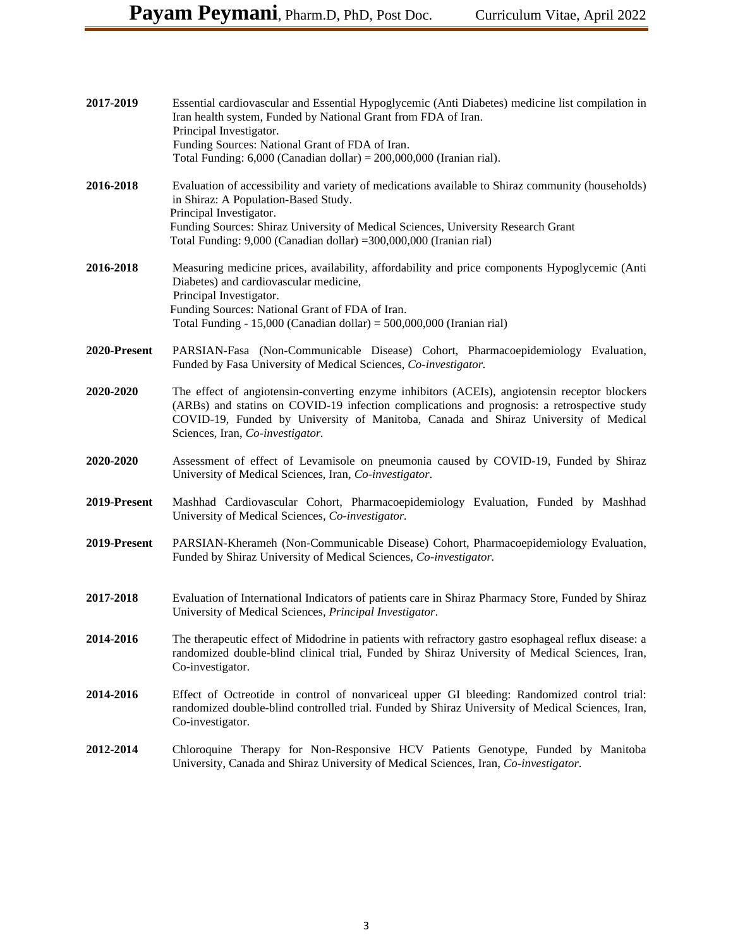| 2017-2019    | Essential cardiovascular and Essential Hypoglycemic (Anti Diabetes) medicine list compilation in<br>Iran health system, Funded by National Grant from FDA of Iran.<br>Principal Investigator.<br>Funding Sources: National Grant of FDA of Iran.<br>Total Funding: $6,000$ (Canadian dollar) = $200,000,000$ (Iranian rial).    |
|--------------|---------------------------------------------------------------------------------------------------------------------------------------------------------------------------------------------------------------------------------------------------------------------------------------------------------------------------------|
| 2016-2018    | Evaluation of accessibility and variety of medications available to Shiraz community (households)<br>in Shiraz: A Population-Based Study.<br>Principal Investigator.<br>Funding Sources: Shiraz University of Medical Sciences, University Research Grant<br>Total Funding: 9,000 (Canadian dollar) =300,000,000 (Iranian rial) |
| 2016-2018    | Measuring medicine prices, availability, affordability and price components Hypoglycemic (Anti<br>Diabetes) and cardiovascular medicine,<br>Principal Investigator.<br>Funding Sources: National Grant of FDA of Iran.<br>Total Funding - 15,000 (Canadian dollar) = $500,000,000$ (Iranian rial)                               |
| 2020-Present | PARSIAN-Fasa (Non-Communicable Disease) Cohort, Pharmacoepidemiology Evaluation,<br>Funded by Fasa University of Medical Sciences, Co-investigator.                                                                                                                                                                             |
| 2020-2020    | The effect of angiotensin-converting enzyme inhibitors (ACEIs), angiotensin receptor blockers<br>(ARBs) and statins on COVID-19 infection complications and prognosis: a retrospective study<br>COVID-19, Funded by University of Manitoba, Canada and Shiraz University of Medical<br>Sciences, Iran, Co-investigator.         |
| 2020-2020    | Assessment of effect of Levamisole on pneumonia caused by COVID-19, Funded by Shiraz<br>University of Medical Sciences, Iran, Co-investigator.                                                                                                                                                                                  |
| 2019-Present | Mashhad Cardiovascular Cohort, Pharmacoepidemiology Evaluation, Funded by Mashhad<br>University of Medical Sciences, Co-investigator.                                                                                                                                                                                           |
| 2019-Present | PARSIAN-Kherameh (Non-Communicable Disease) Cohort, Pharmacoepidemiology Evaluation,<br>Funded by Shiraz University of Medical Sciences, Co-investigator.                                                                                                                                                                       |
| 2017-2018    | Evaluation of International Indicators of patients care in Shiraz Pharmacy Store, Funded by Shiraz<br>University of Medical Sciences, Principal Investigator.                                                                                                                                                                   |
| 2014-2016    | The therapeutic effect of Midodrine in patients with refractory gastro esophageal reflux disease: a<br>randomized double-blind clinical trial, Funded by Shiraz University of Medical Sciences, Iran,<br>Co-investigator.                                                                                                       |
| 2014-2016    | Effect of Octreotide in control of nonvariceal upper GI bleeding: Randomized control trial:<br>randomized double-blind controlled trial. Funded by Shiraz University of Medical Sciences, Iran,<br>Co-investigator.                                                                                                             |
| 2012-2014    | Chloroquine Therapy for Non-Responsive HCV Patients Genotype, Funded by Manitoba<br>University, Canada and Shiraz University of Medical Sciences, Iran, Co-investigator.                                                                                                                                                        |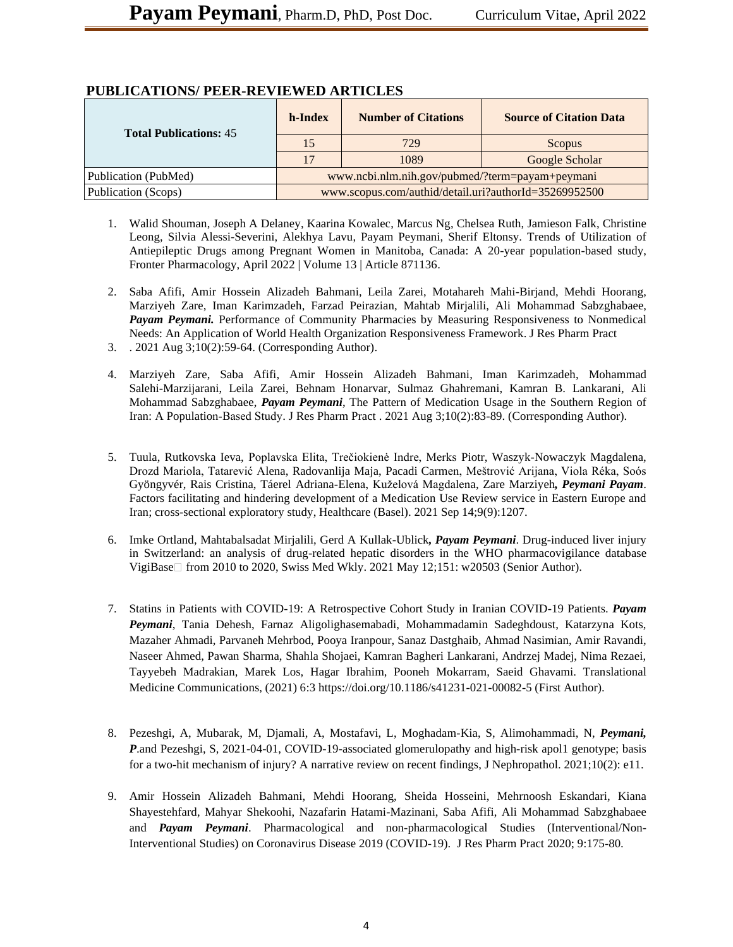| <b>Total Publications: 45</b> | h-Index                                               | <b>Number of Citations</b>                      | <b>Source of Citation Data</b> |
|-------------------------------|-------------------------------------------------------|-------------------------------------------------|--------------------------------|
|                               | 15                                                    | 729                                             | Scopus                         |
|                               |                                                       | 1089                                            | Google Scholar                 |
| Publication (PubMed)          |                                                       | www.ncbi.nlm.nih.gov/pubmed/?term=payam+peymani |                                |
| Publication (Scops)           | www.scopus.com/authid/detail.uri?authorId=35269952500 |                                                 |                                |

## **PUBLICATIONS/ PEER-REVIEWED ARTICLES**

- 1. Walid Shouman, Joseph A Delaney, Kaarina Kowalec, Marcus Ng, Chelsea Ruth, Jamieson Falk, Christine Leong, Silvia Alessi-Severini, Alekhya Lavu, Payam Peymani, Sherif Eltonsy. Trends of Utilization of Antiepileptic Drugs among Pregnant Women in Manitoba, Canada: A 20-year population-based study, Fronter Pharmacology, April 2022 | Volume 13 | Article 871136.
- 2. Saba Afifi, Amir Hossein Alizadeh Bahmani, Leila Zarei, Motahareh Mahi-Birjand, Mehdi Hoorang, Marziyeh Zare, Iman Karimzadeh, Farzad Peirazian, Mahtab Mirjalili, Ali Mohammad Sabzghabaee, *Payam Peymani.* Performance of Community Pharmacies by Measuring Responsiveness to Nonmedical Needs: An Application of World Health Organization Responsiveness Framework. J Res Pharm Pract
- 3. . 2021 Aug 3;10(2):59-64. (Corresponding Author).
- 4. Marziyeh Zare, Saba Afifi, Amir Hossein Alizadeh Bahmani, Iman Karimzadeh, Mohammad Salehi-Marzijarani, Leila Zarei, Behnam Honarvar, Sulmaz Ghahremani, Kamran B. Lankarani, Ali Mohammad Sabzghabaee, *Payam Peymani*, The Pattern of Medication Usage in the Southern Region of Iran: A Population‑Based Study. J Res Pharm Pract . 2021 Aug 3;10(2):83-89. (Corresponding Author).
- 5. Tuula, Rutkovska Ieva, Poplavska Elita, Trečiokienė Indre, Merks Piotr, Waszyk-Nowaczyk Magdalena, Drozd Mariola, Tatarević Alena, Radovanlija Maja, Pacadi Carmen, Meštrović Arijana, Viola Réka, Soós Gyöngyvér, Rais Cristina, Táerel Adriana-Elena, Kuželová Magdalena, Zare Marziyeh*, Peymani Payam*. Factors facilitating and hindering development of a Medication Use Review service in Eastern Europe and Iran; cross-sectional exploratory study, Healthcare (Basel). 2021 Sep 14;9(9):1207.
- 6. Imke Ortland, Mahtabalsadat Mirjalili, Gerd A Kullak-Ublick*, Payam Peymani*. Drug-induced liver injury in Switzerland: an analysis of drug-related hepatic disorders in the WHO pharmacovigilance database VigiBase  $\Box$  from 2010 to 2020, Swiss Med Wkly. 2021 May 12;151: w20503 (Senior Author).
- 7. Statins in Patients with COVID-19: A Retrospective Cohort Study in Iranian COVID-19 Patients. *Payam Peymani*, Tania Dehesh, Farnaz Aligolighasemabadi, Mohammadamin Sadeghdoust, Katarzyna Kots, Mazaher Ahmadi, Parvaneh Mehrbod, Pooya Iranpour, Sanaz Dastghaib, Ahmad Nasimian, Amir Ravandi, Naseer Ahmed, Pawan Sharma, Shahla Shojaei, Kamran Bagheri Lankarani, Andrzej Madej, Nima Rezaei, Tayyebeh Madrakian, Marek Los, Hagar Ibrahim, Pooneh Mokarram, Saeid Ghavami. Translational Medicine Communications, (2021) 6:3 https://doi.org/10.1186/s41231-021-00082-5 (First Author).
- 8. Pezeshgi, A, Mubarak, M, Djamali, A, Mostafavi, L, Moghadam-Kia, S, Alimohammadi, N, *Peymani, P.and Pezeshgi, S, 2021-04-01, COVID-19-associated glomerulopathy and high-risk apol1 genotype; basis* for a two-hit mechanism of injury? A narrative review on recent findings, J Nephropathol. 2021;10(2): e11.
- 9. Amir Hossein Alizadeh Bahmani, Mehdi Hoorang, Sheida Hosseini, Mehrnoosh Eskandari, Kiana Shayestehfard, Mahyar Shekoohi, Nazafarin Hatami-Mazinani, Saba Afifi, Ali Mohammad Sabzghabaee and *Payam Peymani*. Pharmacological and non-pharmacological Studies (Interventional/Non-Interventional Studies) on Coronavirus Disease 2019 (COVID-19). J Res Pharm Pract 2020; 9:175-80.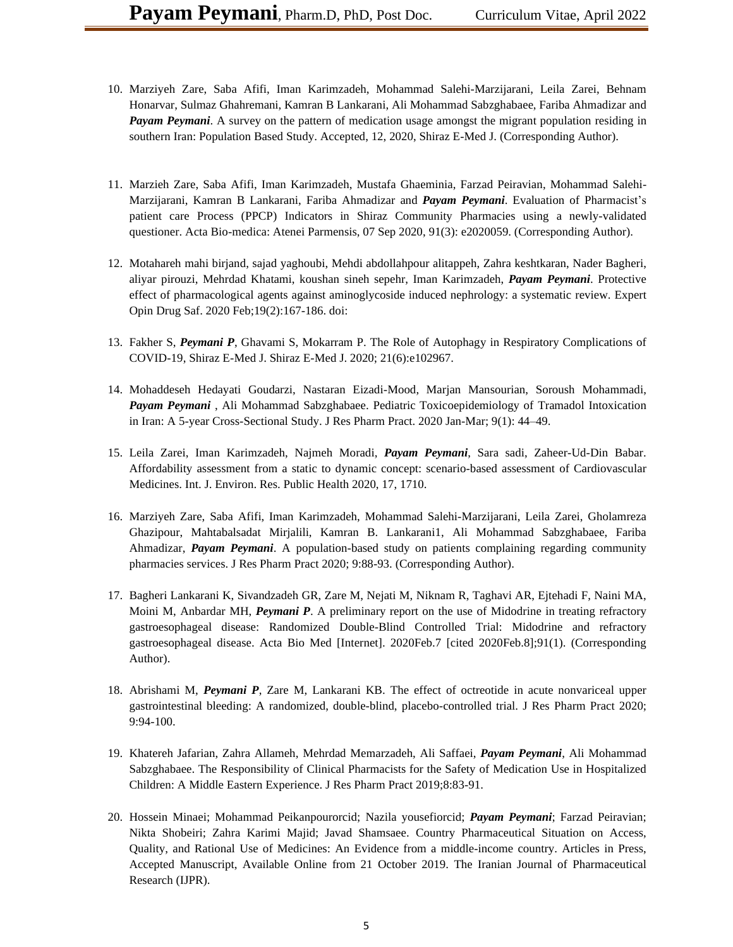- 10. Marziyeh Zare, Saba Afifi, Iman Karimzadeh, Mohammad Salehi-Marzijarani, Leila Zarei, Behnam Honarvar, Sulmaz Ghahremani, Kamran B Lankarani, Ali Mohammad Sabzghabaee, Fariba Ahmadizar and *Payam Peymani.* A survey on the pattern of medication usage amongst the migrant population residing in southern Iran: Population Based Study. Accepted, 12, 2020, Shiraz E-Med J. (Corresponding Author).
- 11. Marzieh Zare, Saba Afifi, Iman Karimzadeh, Mustafa Ghaeminia, Farzad Peiravian, Mohammad Salehi-Marzijarani, Kamran B Lankarani, Fariba Ahmadizar and *Payam Peymani*. Evaluation of Pharmacist's patient care Process (PPCP) Indicators in Shiraz Community Pharmacies using a newly-validated questioner. Acta Bio-medica: Atenei Parmensis, 07 Sep 2020, 91(3): e2020059. (Corresponding Author).
- 12. Motahareh mahi birjand, sajad yaghoubi, Mehdi abdollahpour alitappeh, Zahra keshtkaran, Nader Bagheri, aliyar pirouzi, Mehrdad Khatami, koushan sineh sepehr, Iman Karimzadeh, *Payam Peymani*. Protective effect of pharmacological agents against aminoglycoside induced nephrology: a systematic review. Expert Opin Drug Saf. 2020 Feb;19(2):167-186. doi:
- 13. Fakher S, *Peymani P*, Ghavami S, Mokarram P. The Role of Autophagy in Respiratory Complications of COVID-19, Shiraz E-Med J. Shiraz E-Med J. 2020; 21(6):e102967.
- 14. Mohaddeseh Hedayati Goudarzi, Nastaran Eizadi-Mood, Marjan Mansourian, Soroush Mohammadi, *Payam Peymani* , Ali Mohammad Sabzghabaee. Pediatric Toxicoepidemiology of Tramadol Intoxication in Iran: A 5-year Cross-Sectional Study. J Res Pharm Pract. 2020 Jan-Mar; 9(1): 44–49.
- 15. Leila Zarei, Iman Karimzadeh, Najmeh Moradi, *Payam Peymani*, Sara sadi, Zaheer-Ud-Din Babar. Affordability assessment from a static to dynamic concept: scenario-based assessment of Cardiovascular Medicines. Int. J. Environ. Res. Public Health 2020, 17, 1710.
- 16. Marziyeh Zare, Saba Afifi, Iman Karimzadeh, Mohammad Salehi-Marzijarani, Leila Zarei, Gholamreza Ghazipour, Mahtabalsadat Mirjalili, Kamran B. Lankarani1, Ali Mohammad Sabzghabaee, Fariba Ahmadizar, *Payam Peymani*. A population-based study on patients complaining regarding community pharmacies services. J Res Pharm Pract 2020; 9:88-93. (Corresponding Author).
- 17. Bagheri Lankarani K, Sivandzadeh GR, Zare M, Nejati M, Niknam R, Taghavi AR, Ejtehadi F, Naini MA, Moini M, Anbardar MH, *Peymani P*. A preliminary report on the use of Midodrine in treating refractory gastroesophageal disease: Randomized Double-Blind Controlled Trial: Midodrine and refractory gastroesophageal disease. Acta Bio Med [Internet]. 2020Feb.7 [cited 2020Feb.8];91(1). (Corresponding Author).
- 18. Abrishami M, *Peymani P*, Zare M, Lankarani KB. The effect of octreotide in acute nonvariceal upper gastrointestinal bleeding: A randomized, double-blind, placebo-controlled trial. J Res Pharm Pract 2020; 9:94-100.
- 19. Khatereh Jafarian, Zahra Allameh, Mehrdad Memarzadeh, Ali Saffaei, *Payam Peymani*, Ali Mohammad Sabzghabaee. The Responsibility of Clinical Pharmacists for the Safety of Medication Use in Hospitalized Children: A Middle Eastern Experience. J Res Pharm Pract 2019;8:83-91.
- 20. Hossein Minaei; Mohammad Peikanpourorcid; Nazila yousefiorcid; *Payam Peymani*; Farzad Peiravian; Nikta Shobeiri; Zahra Karimi Majid; Javad Shamsaee. Country Pharmaceutical Situation on Access, Quality, and Rational Use of Medicines: An Evidence from a middle-income country. Articles in Press, Accepted Manuscript, Available Online from 21 October 2019. The Iranian Journal of Pharmaceutical Research (IJPR).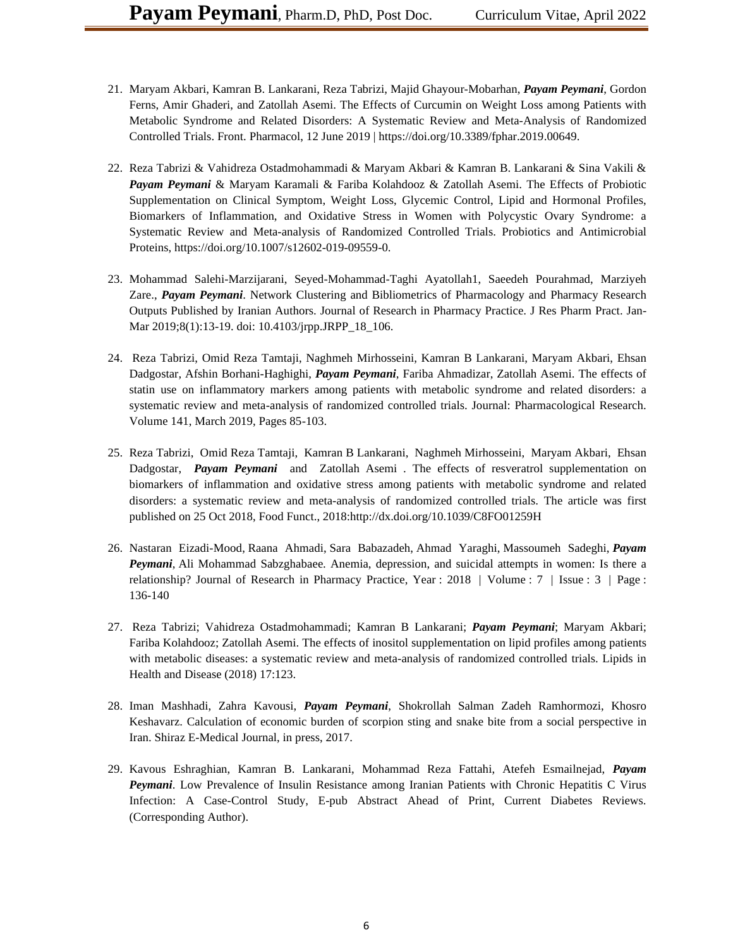- 21. Maryam Akbari, Kamran B. Lankarani, Reza Tabrizi, Majid Ghayour-Mobarhan, *Payam Peymani*, Gordon Ferns, Amir Ghaderi, and Zatollah Asemi. The Effects of Curcumin on Weight Loss among Patients with Metabolic Syndrome and Related Disorders: A Systematic Review and Meta-Analysis of Randomized Controlled Trials. Front. Pharmacol, 12 June 2019 | https://doi.org/10.3389/fphar.2019.00649.
- 22. Reza Tabrizi & Vahidreza Ostadmohammadi & Maryam Akbari & Kamran B. Lankarani & Sina Vakili & *Payam Peymani* & Maryam Karamali & Fariba Kolahdooz & Zatollah Asemi. The Effects of Probiotic Supplementation on Clinical Symptom, Weight Loss, Glycemic Control, Lipid and Hormonal Profiles, Biomarkers of Inflammation, and Oxidative Stress in Women with Polycystic Ovary Syndrome: a Systematic Review and Meta-analysis of Randomized Controlled Trials. Probiotics and Antimicrobial Proteins, https://doi.org/10.1007/s12602-019-09559-0.
- 23. Mohammad Salehi-Marzijarani, Seyed-Mohammad-Taghi Ayatollah1, Saeedeh Pourahmad, Marziyeh Zare., *Payam Peymani*. Network Clustering and Bibliometrics of Pharmacology and Pharmacy Research Outputs Published by Iranian Authors. Journal of Research in Pharmacy Practice. J Res Pharm Pract. Jan-Mar 2019;8(1):13-19. doi: 10.4103/jrpp.JRPP\_18\_106.
- 24. Reza Tabrizi, Omid Reza Tamtaji, Naghmeh Mirhosseini, Kamran B Lankarani, Maryam Akbari, Ehsan Dadgostar, Afshin Borhani-Haghighi, *Payam Peymani*, Fariba Ahmadizar, Zatollah Asemi. The effects of statin use on inflammatory markers among patients with metabolic syndrome and related disorders: a systematic review and meta-analysis of randomized controlled trials. Journal: Pharmacological Research. Volume 141, March 2019, Pages 85-103.
- 25. Reza Tabrizi, Omid Reza Tamtaji, Kamran B Lankarani, Naghmeh Mirhosseini, Maryam Akbari, Ehsan Dadgostar, *Payam Peymani* and Zatollah Asemi . The effects of resveratrol supplementation on biomarkers of inflammation and oxidative stress among patients with metabolic syndrome and related disorders: a systematic review and meta-analysis of randomized controlled trials. The article was first published on 25 Oct 2018, Food Funct., 2018[:http://dx.doi.org/10.1039/C8FO01259H](http://dx.doi.org/10.1039/C8FO01259H)
- 26. [Nastaran Eizadi-Mood,](http://www.jrpp.net/searchresult.asp?search=&author=Nastaran+Eizadi%2DMood&journal=Y&but_search=Search&entries=10&pg=1&s=0) [Raana Ahmadi,](http://www.jrpp.net/searchresult.asp?search=&author=Raana+Ahmadi&journal=Y&but_search=Search&entries=10&pg=1&s=0) [Sara Babazadeh,](http://www.jrpp.net/searchresult.asp?search=&author=Sara+Babazadeh&journal=Y&but_search=Search&entries=10&pg=1&s=0) Ahmad [Yaraghi,](http://www.jrpp.net/searchresult.asp?search=&author=Ahmad+Yaraghi&journal=Y&but_search=Search&entries=10&pg=1&s=0) [Massoumeh](http://www.jrpp.net/searchresult.asp?search=&author=Massoumeh+Sadeghi&journal=Y&but_search=Search&entries=10&pg=1&s=0) Sadeghi, *[Payam](http://www.jrpp.net/searchresult.asp?search=&author=Payam+Peymani&journal=Y&but_search=Search&entries=10&pg=1&s=0)  [Peymani](http://www.jrpp.net/searchresult.asp?search=&author=Payam+Peymani&journal=Y&but_search=Search&entries=10&pg=1&s=0)*, [Ali Mohammad Sabzghabaee.](http://www.jrpp.net/searchresult.asp?search=&author=Ali+Mohammad+Sabzghabaee&journal=Y&but_search=Search&entries=10&pg=1&s=0) Anemia, depression, and suicidal attempts in women: Is there a relationship? Journal of Research in Pharmacy Practice, Year : 2018 | Volume : 7 | Issue : 3 | Page : 136-140
- 27. Reza Tabrizi; Vahidreza Ostadmohammadi; Kamran B Lankarani; *Payam Peymani*; Maryam Akbari; Fariba Kolahdooz; Zatollah Asemi. The effects of inositol supplementation on lipid profiles among patients with metabolic diseases: a systematic review and meta-analysis of randomized controlled trials. Lipids in Health and Disease (2018) 17:123.
- 28. Iman Mashhadi, Zahra Kavousi, *Payam Peymani*, Shokrollah Salman Zadeh Ramhormozi, Khosro Keshavarz. Calculation of economic burden of scorpion sting and snake bite from a social perspective in Iran. Shiraz E-Medical Journal, in press, 2017.
- 29. Kavous Eshraghian, Kamran B. Lankarani, Mohammad Reza Fattahi, Atefeh Esmailnejad, *Payam Peymani*. Low Prevalence of Insulin Resistance among Iranian Patients with Chronic Hepatitis C Virus Infection: A Case-Control Study, E-pub Abstract Ahead of Print, Current Diabetes Reviews. (Corresponding Author).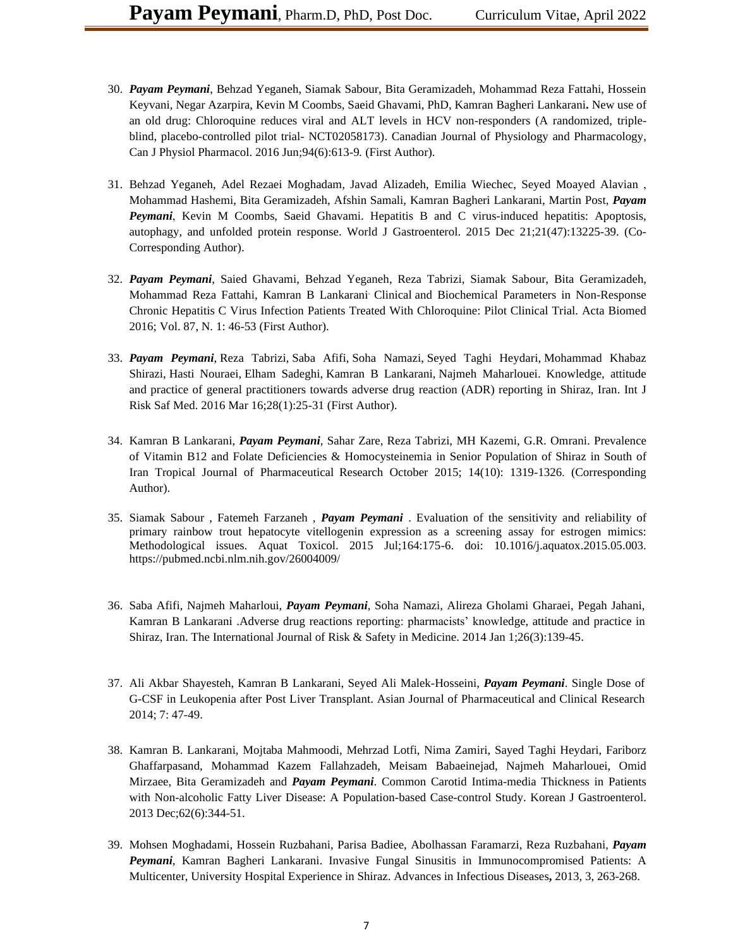- 30. *Payam Peymani*, Behzad Yeganeh, Siamak Sabour, Bita Geramizadeh, Mohammad Reza Fattahi, Hossein Keyvani, Negar Azarpira, Kevin M Coombs, Saeid Ghavami, PhD, Kamran Bagheri Lankarani**.** New use of an old drug: Chloroquine reduces viral and ALT levels in HCV non-responders (A randomized, tripleblind, placebo-controlled pilot trial- NCT02058173). Canadian Journal of Physiology and Pharmacology, Can J Physiol Pharmacol. 2016 Jun;94(6):613-9*.* (First Author).
- 31. Behzad Yeganeh, Adel Rezaei Moghadam, Javad Alizadeh, Emilia Wiechec, Seyed Moayed Alavian , Mohammad Hashemi, Bita Geramizadeh, Afshin Samali, Kamran Bagheri Lankarani, Martin Post, *Payam Peymani*, Kevin M Coombs, Saeid Ghavami. Hepatitis B and C virus-induced hepatitis: Apoptosis, autophagy, and unfolded protein response. World J Gastroenterol. 2015 Dec 21;21(47):13225-39. (Co-Corresponding Author).
- 32. *Payam Peymani*, Saied Ghavami, Behzad Yeganeh, Reza Tabrizi, Siamak Sabour, Bita Geramizadeh, Mohammad Reza Fattahi, Kamran B Lankarani. Clinical and Biochemical Parameters in Non-Response Chronic Hepatitis C Virus Infection Patients Treated With Chloroquine: Pilot Clinical Trial. Acta Biomed 2016; Vol. 87, N. 1: 46-53 (First Author).
- 33. *Payam [Peymani](http://www.pubfacts.com/author/Payam+Peymani)*, Reza [Tabrizi,](http://www.pubfacts.com/author/Reza+Tabrizi) Saba [Afifi,](http://www.pubfacts.com/author/Saba+Afifi) Soha [Namazi,](http://www.pubfacts.com/author/Soha+Namazi) Seyed Taghi [Heydari,](http://www.pubfacts.com/author/Seyed+Taghi+Heydari) [Mohammad](http://www.pubfacts.com/author/Mohammad+Khabaz+Shirazi) Khabaz [Shirazi,](http://www.pubfacts.com/author/Mohammad+Khabaz+Shirazi) Hasti [Nouraei,](http://www.pubfacts.com/author/Hasti+Nouraei) Elham [Sadeghi,](http://www.pubfacts.com/author/Elham+Sadeghi) Kamran B [Lankarani,](http://www.pubfacts.com/author/Kamran+B+Lankarani) Najmeh [Maharlouei.](http://www.pubfacts.com/author/Najmeh+Maharlouei) Knowledge, attitude and practice of general practitioners towards adverse drug reaction (ADR) reporting in Shiraz, Iran. Int J Risk Saf Med. 2016 Mar 16;28(1):25-31 (First Author).
- 34. Kamran B Lankarani, *Payam Peymani*, Sahar Zare, Reza Tabrizi, MH Kazemi, G.R. Omrani. Prevalence of Vitamin B12 and Folate Deficiencies & Homocysteinemia in Senior Population of Shiraz in South of Iran Tropical Journal of Pharmaceutical Research October 2015; 14(10): 1319-1326 . (Corresponding Author).
- 35. Siamak Sabour , Fatemeh Farzaneh , *Payam Peymani* . Evaluation of the sensitivity and reliability of primary rainbow trout hepatocyte vitellogenin expression as a screening assay for estrogen mimics: Methodological issues. Aquat Toxicol. 2015 Jul;164:175-6. doi: 10.1016/j.aquatox.2015.05.003. https://pubmed.ncbi.nlm.nih.gov/26004009/
- 36. Saba Afifi, Najmeh Maharloui, *Payam Peymani*, Soha Namazi, Alireza Gholami Gharaei, Pegah Jahani, Kamran B Lankarani .Adverse drug reactions reporting: pharmacists' knowledge, attitude and practice in Shiraz, Iran. The International Journal of Risk & Safety in Medicine. 2014 Jan 1;26(3):139-45.
- 37. Ali Akbar Shayesteh, Kamran B Lankarani, Seyed Ali Malek-Hosseini, *Payam Peymani*. Single Dose of G-CSF in Leukopenia after Post Liver Transplant. Asian Journal of Pharmaceutical and Clinical Research 2014; 7: 47-49.
- 38. Kamran B. Lankarani, Mojtaba Mahmoodi, Mehrzad Lotfi, Nima Zamiri, Sayed Taghi Heydari, Fariborz Ghaffarpasand, Mohammad Kazem Fallahzadeh, Meisam Babaeinejad, Najmeh Maharlouei, Omid Mirzaee, Bita Geramizadeh and *Payam Peymani*. Common Carotid Intima-media Thickness in Patients with Non-alcoholic Fatty Liver Disease: A Population-based Case-control Study. Korean J Gastroenterol. 2013 Dec;62(6):344-51.
- 39. Mohsen Moghadami, Hossein Ruzbahani, Parisa Badiee, Abolhassan Faramarzi, Reza Ruzbahani, *Payam Peymani*, Kamran Bagheri Lankarani. Invasive Fungal Sinusitis in Immunocompromised Patients: A Multicenter, University Hospital Experience in Shiraz. Advances in Infectious Diseases**,** 2013, 3, 263-268.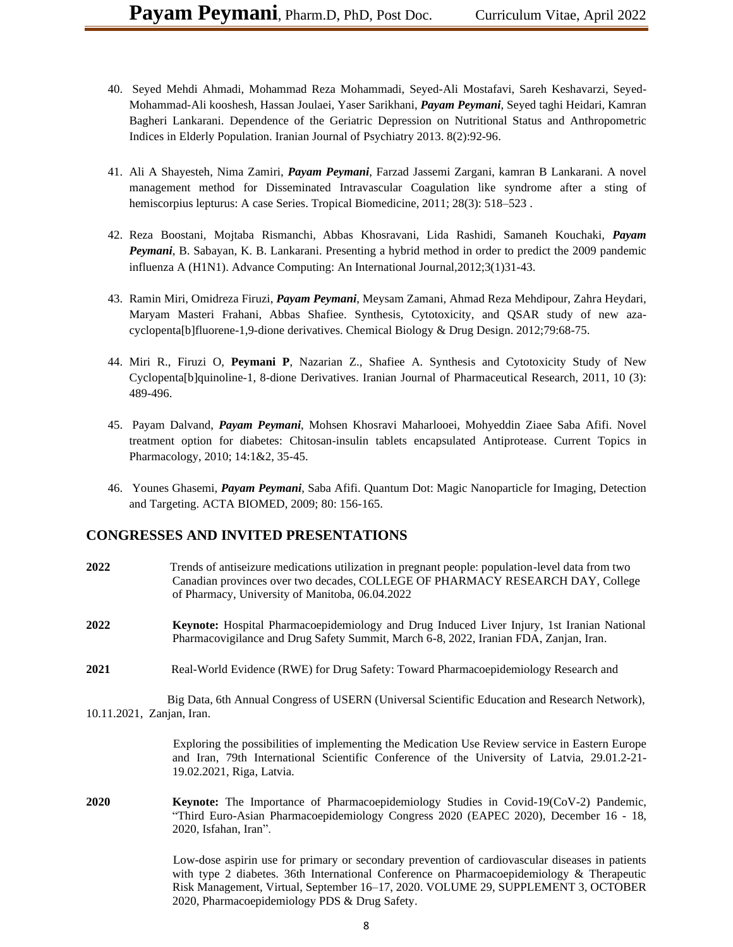- 40. Seyed Mehdi Ahmadi, Mohammad Reza Mohammadi, Seyed-Ali Mostafavi, Sareh Keshavarzi, Seyed-Mohammad-Ali kooshesh, Hassan Joulaei, Yaser Sarikhani, *Payam Peymani*, Seyed taghi Heidari, Kamran Bagheri Lankarani. Dependence of the Geriatric Depression on Nutritional Status and Anthropometric Indices in Elderly Population. Iranian Journal of Psychiatry 2013. 8(2):92-96.
- 41. Ali A Shayesteh, Nima Zamiri, *Payam Peymani*, Farzad Jassemi Zargani, kamran B Lankarani. A novel management method for Disseminated Intravascular Coagulation like syndrome after a sting of hemiscorpius lepturus: A case Series. Tropical Biomedicine, 2011; 28(3): 518–523 .
- 42. Reza Boostani, Mojtaba Rismanchi, Abbas Khosravani, Lida Rashidi, Samaneh Kouchaki, *Payam Peymani*, B. Sabayan, K. B. Lankarani. Presenting a hybrid method in order to predict the 2009 pandemic influenza A (H1N1). Advance Computing: An International Journal,2012;3(1)31-43.
- 43. Ramin Miri, Omidreza Firuzi, *Payam Peymani*, Meysam Zamani, Ahmad Reza Mehdipour, Zahra Heydari, Maryam Masteri Frahani, Abbas Shafiee. Synthesis, Cytotoxicity, and QSAR study of new azacyclopenta[b]fluorene-1,9-dione derivatives. Chemical Biology & Drug Design. 2012;79:68-75.
- 44. Miri R., Firuzi O, **Peymani P**, Nazarian Z., Shafiee A. Synthesis and Cytotoxicity Study of New Cyclopenta[b]quinoline-1, 8-dione Derivatives. Iranian Journal of Pharmaceutical Research, 2011, 10 (3): 489-496.
- 45. Payam Dalvand, *Payam Peymani*, Mohsen Khosravi Maharlooei, Mohyeddin Ziaee Saba Afifi. Novel treatment option for diabetes: Chitosan-insulin tablets encapsulated Antiprotease. Current Topics in Pharmacology, 2010; 14:1&2, 35-45.
- 46. Younes Ghasemi, *Payam Peymani*, Saba Afifi. Quantum Dot: Magic Nanoparticle for Imaging, Detection and Targeting. ACTA BIOMED, 2009; 80: 156-165.

#### **CONGRESSES AND INVITED PRESENTATIONS**

- **2022** Trends of antiseizure medications utilization in pregnant people: population-level data from two Canadian provinces over two decades, COLLEGE OF PHARMACY RESEARCH DAY, College of Pharmacy, University of Manitoba, 06.04.2022
- **2022 Keynote:** Hospital Pharmacoepidemiology and Drug Induced Liver Injury, 1st Iranian National Pharmacovigilance and Drug Safety Summit, March 6-8, 2022, Iranian FDA, Zanjan, Iran.
- **2021** Real-World Evidence (RWE) for Drug Safety: Toward Pharmacoepidemiology Research and

 Big Data, 6th Annual Congress of USERN (Universal Scientific Education and Research Network), 10.11.2021, Zanjan, Iran.

> Exploring the possibilities of implementing the Medication Use Review service in Eastern Europe and Iran, 79th International Scientific Conference of the University of Latvia, 29.01.2-21- 19.02.2021, Riga, Latvia.

**2020 Keynote:** The Importance of Pharmacoepidemiology Studies in Covid-19(CoV-2) Pandemic, "Third Euro-Asian Pharmacoepidemiology Congress 2020 (EAPEC 2020), December 16 - 18, 2020, Isfahan, Iran".

> Low-dose aspirin use for primary or secondary prevention of cardiovascular diseases in patients with type 2 diabetes. 36th International Conference on Pharmacoepidemiology & Therapeutic Risk Management, Virtual, September 16–17, 2020. VOLUME 29, SUPPLEMENT 3, OCTOBER 2020, Pharmacoepidemiology PDS & Drug Safety.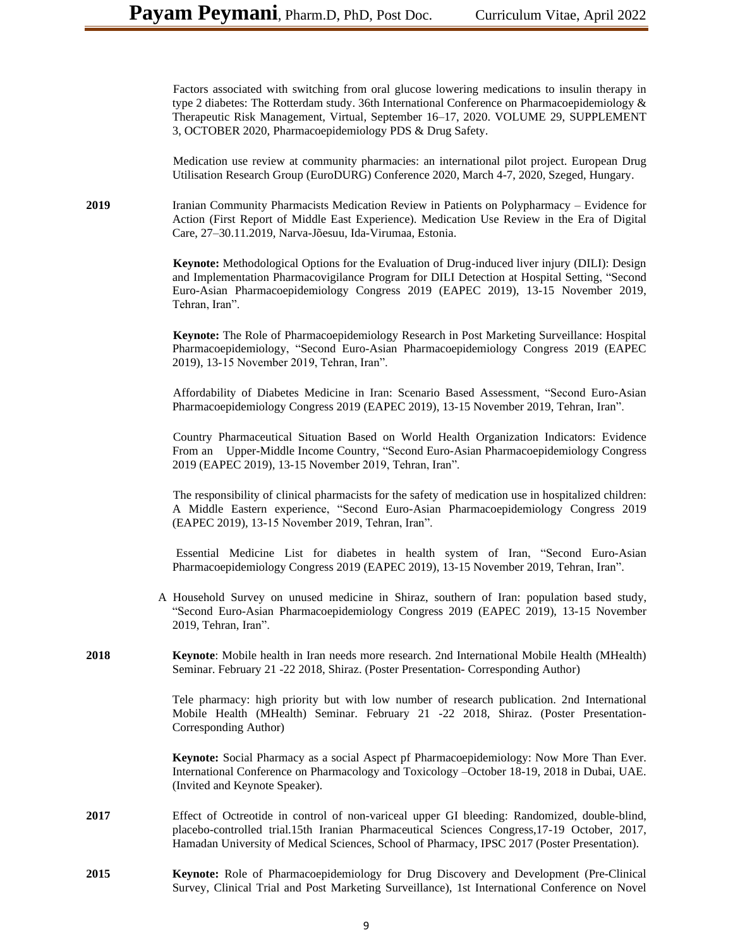Factors associated with switching from oral glucose lowering medications to insulin therapy in type 2 diabetes: The Rotterdam study. 36th International Conference on Pharmacoepidemiology & Therapeutic Risk Management, Virtual, September 16–17, 2020. VOLUME 29, SUPPLEMENT 3, OCTOBER 2020, Pharmacoepidemiology PDS & Drug Safety.

 Medication use review at community pharmacies: an international pilot project. European Drug Utilisation Research Group (EuroDURG) Conference 2020, March 4-7, 2020, Szeged, Hungary.

**2019** Iranian Community Pharmacists Medication Review in Patients on Polypharmacy – Evidence for Action (First Report of Middle East Experience). Medication Use Review in the Era of Digital Care, 27–30.11.2019, Narva-Jõesuu, Ida-Virumaa, Estonia.

> **Keynote:** Methodological Options for the Evaluation of Drug-induced liver injury (DILI): Design and Implementation Pharmacovigilance Program for DILI Detection at Hospital Setting, "Second Euro-Asian Pharmacoepidemiology Congress 2019 (EAPEC 2019), 13-15 November 2019, Tehran, Iran".

> **Keynote:** The Role of Pharmacoepidemiology Research in Post Marketing Surveillance: Hospital Pharmacoepidemiology, "Second Euro-Asian Pharmacoepidemiology Congress 2019 (EAPEC 2019), 13-15 November 2019, Tehran, Iran".

> Affordability of Diabetes Medicine in Iran: Scenario Based Assessment, "Second Euro-Asian Pharmacoepidemiology Congress 2019 (EAPEC 2019), 13-15 November 2019, Tehran, Iran".

> Country Pharmaceutical Situation Based on World Health Organization Indicators: Evidence From an Upper-Middle Income Country, "Second Euro-Asian Pharmacoepidemiology Congress 2019 (EAPEC 2019), 13-15 November 2019, Tehran, Iran".

> The responsibility of clinical pharmacists for the safety of medication use in hospitalized children: A Middle Eastern experience, "Second Euro-Asian Pharmacoepidemiology Congress 2019 (EAPEC 2019), 13-15 November 2019, Tehran, Iran".

> Essential Medicine List for diabetes in health system of Iran, "Second Euro-Asian Pharmacoepidemiology Congress 2019 (EAPEC 2019), 13-15 November 2019, Tehran, Iran".

- A Household Survey on unused medicine in Shiraz, southern of Iran: population based study, "Second Euro-Asian Pharmacoepidemiology Congress 2019 (EAPEC 2019), 13-15 November 2019, Tehran, Iran".
- **2018 Keynote**: Mobile health in Iran needs more research. 2nd International Mobile Health (MHealth) Seminar. February 21 -22 2018, Shiraz. (Poster Presentation- Corresponding Author)

Tele pharmacy: high priority but with low number of research publication. 2nd International Mobile Health (MHealth) Seminar. February 21 -22 2018, Shiraz. (Poster Presentation-Corresponding Author)

**Keynote:** Social Pharmacy as a social Aspect pf Pharmacoepidemiology: Now More Than Ever. International Conference on Pharmacology and Toxicology –October 18-19, 2018 in Dubai, UAE. (Invited and Keynote Speaker).

- **2017** Effect of Octreotide in control of non-variceal upper GI bleeding: Randomized, double-blind, placebo-controlled trial.15th Iranian Pharmaceutical Sciences Congress,17-19 October, 2017, Hamadan University of Medical Sciences, School of Pharmacy, IPSC 2017 (Poster Presentation).
- **2015 Keynote:** Role of Pharmacoepidemiology for Drug Discovery and Development (Pre-Clinical Survey, Clinical Trial and Post Marketing Surveillance), 1st International Conference on Novel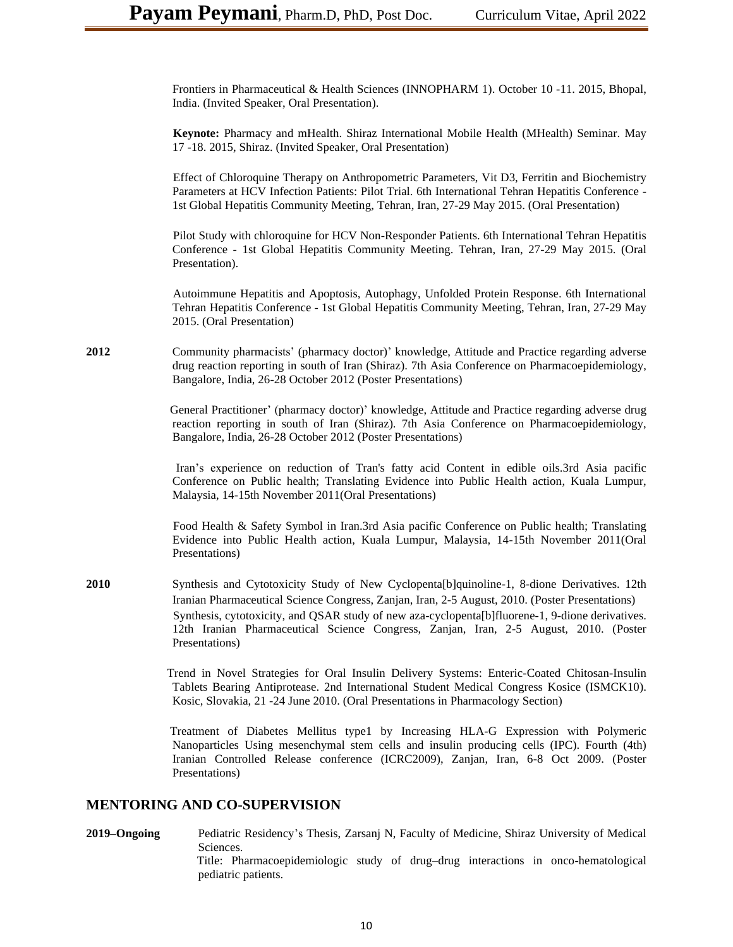Frontiers in Pharmaceutical & Health Sciences (INNOPHARM 1). October 10 -11. 2015, Bhopal, India. (Invited Speaker, Oral Presentation).

 **Keynote:** Pharmacy and mHealth. Shiraz International Mobile Health (MHealth) Seminar. May 17 -18. 2015, Shiraz. (Invited Speaker, Oral Presentation)

 Effect of Chloroquine Therapy on Anthropometric Parameters, Vit D3, Ferritin and Biochemistry Parameters at HCV Infection Patients: Pilot Trial. 6th International Tehran Hepatitis Conference - 1st Global Hepatitis Community Meeting, Tehran, Iran, 27-29 May 2015. (Oral Presentation)

 Pilot Study with chloroquine for HCV Non-Responder Patients. 6th International Tehran Hepatitis Conference - 1st Global Hepatitis Community Meeting. Tehran, Iran, 27-29 May 2015. (Oral Presentation).

 Autoimmune Hepatitis and Apoptosis, Autophagy, Unfolded Protein Response. 6th International Tehran Hepatitis Conference - 1st Global Hepatitis Community Meeting, Tehran, Iran, 27-29 May 2015. (Oral Presentation)

2012 Community pharmacists' (pharmacy doctor)' knowledge, Attitude and Practice regarding adverse drug reaction reporting in south of Iran (Shiraz). 7th Asia Conference on Pharmacoepidemiology, Bangalore, India, 26-28 October 2012 (Poster Presentations)

> General Practitioner' (pharmacy doctor)' knowledge, Attitude and Practice regarding adverse drug reaction reporting in south of Iran (Shiraz). 7th Asia Conference on Pharmacoepidemiology, Bangalore, India, 26-28 October 2012 (Poster Presentations)

> Iran's experience on reduction of Tran's fatty acid Content in edible oils.3rd Asia pacific Conference on Public health; Translating Evidence into Public Health action, Kuala Lumpur, Malaysia, 14-15th November 2011(Oral Presentations)

> Food Health & Safety Symbol in Iran.3rd Asia pacific Conference on Public health; Translating Evidence into Public Health action, Kuala Lumpur, Malaysia, 14-15th November 2011(Oral Presentations)

**2010** Synthesis and Cytotoxicity Study of New Cyclopenta[b]quinoline-1, 8-dione Derivatives. 12th Iranian Pharmaceutical Science Congress, Zanjan, Iran, 2-5 August, 2010. (Poster Presentations) Synthesis, cytotoxicity, and QSAR study of new aza-cyclopenta[b]fluorene-1, 9-dione derivatives. 12th Iranian Pharmaceutical Science Congress, Zanjan, Iran, 2-5 August, 2010. (Poster Presentations)

> Trend in Novel Strategies for Oral Insulin Delivery Systems: Enteric-Coated Chitosan-Insulin Tablets Bearing Antiprotease. 2nd International Student Medical Congress Kosice (ISMCK10). Kosic, Slovakia, 21 -24 June 2010. (Oral Presentations in Pharmacology Section)

> Treatment of Diabetes Mellitus type1 by Increasing HLA-G Expression with Polymeric Nanoparticles Using mesenchymal stem cells and insulin producing cells (IPC). Fourth (4th) Iranian Controlled Release conference (ICRC2009), Zanjan, Iran, 6-8 Oct 2009. (Poster Presentations)

#### **MENTORING AND CO-SUPERVISION**

**2019–Ongoing** Pediatric Residency's Thesis, Zarsanj N, Faculty of Medicine, Shiraz University of Medical Sciences. Title: Pharmacoepidemiologic study of drug–drug interactions in onco-hematological pediatric patients.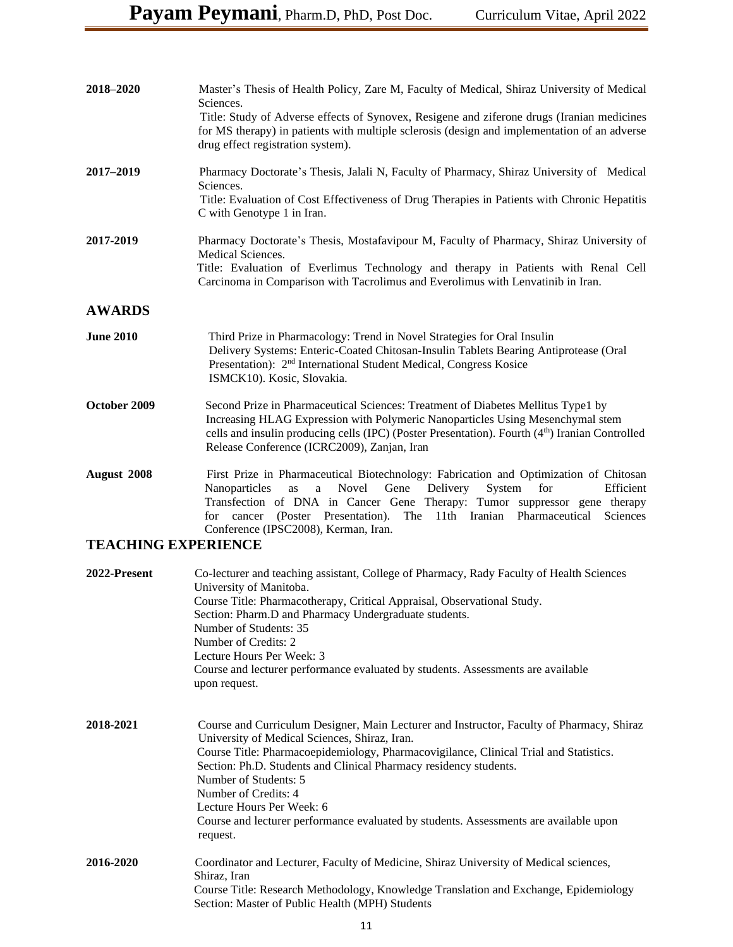| 2018-2020                  | Master's Thesis of Health Policy, Zare M, Faculty of Medical, Shiraz University of Medical<br>Sciences.<br>Title: Study of Adverse effects of Synovex, Resigene and ziferone drugs (Iranian medicines<br>for MS therapy) in patients with multiple sclerosis (design and implementation of an adverse<br>drug effect registration system).                                                                                                                                                  |
|----------------------------|---------------------------------------------------------------------------------------------------------------------------------------------------------------------------------------------------------------------------------------------------------------------------------------------------------------------------------------------------------------------------------------------------------------------------------------------------------------------------------------------|
| 2017-2019                  | Pharmacy Doctorate's Thesis, Jalali N, Faculty of Pharmacy, Shiraz University of Medical<br>Sciences.<br>Title: Evaluation of Cost Effectiveness of Drug Therapies in Patients with Chronic Hepatitis<br>C with Genotype 1 in Iran.                                                                                                                                                                                                                                                         |
| 2017-2019                  | Pharmacy Doctorate's Thesis, Mostafavipour M, Faculty of Pharmacy, Shiraz University of<br>Medical Sciences.<br>Title: Evaluation of Everlimus Technology and therapy in Patients with Renal Cell<br>Carcinoma in Comparison with Tacrolimus and Everolimus with Lenvatinib in Iran.                                                                                                                                                                                                        |
| <b>AWARDS</b>              |                                                                                                                                                                                                                                                                                                                                                                                                                                                                                             |
| <b>June 2010</b>           | Third Prize in Pharmacology: Trend in Novel Strategies for Oral Insulin<br>Delivery Systems: Enteric-Coated Chitosan-Insulin Tablets Bearing Antiprotease (Oral<br>Presentation): 2 <sup>nd</sup> International Student Medical, Congress Kosice<br>ISMCK10). Kosic, Slovakia.                                                                                                                                                                                                              |
| October 2009               | Second Prize in Pharmaceutical Sciences: Treatment of Diabetes Mellitus Type1 by<br>Increasing HLAG Expression with Polymeric Nanoparticles Using Mesenchymal stem<br>cells and insulin producing cells (IPC) (Poster Presentation). Fourth (4 <sup>th</sup> ) Iranian Controlled<br>Release Conference (ICRC2009), Zanjan, Iran                                                                                                                                                            |
| August 2008                | First Prize in Pharmaceutical Biotechnology: Fabrication and Optimization of Chitosan<br>Nanoparticles<br>Novel<br>Delivery<br>System<br>for<br>Efficient<br>as<br>a<br>Gene<br>Transfection of DNA in Cancer Gene Therapy: Tumor suppressor gene therapy<br>(Poster Presentation).<br>for cancer<br>The 11th Iranian Pharmaceutical<br>Sciences<br>Conference (IPSC2008), Kerman, Iran.                                                                                                    |
| <b>TEACHING EXPERIENCE</b> |                                                                                                                                                                                                                                                                                                                                                                                                                                                                                             |
| 2022-Present               | Co-lecturer and teaching assistant, College of Pharmacy, Rady Faculty of Health Sciences<br>University of Manitoba.<br>Course Title: Pharmacotherapy, Critical Appraisal, Observational Study.<br>Section: Pharm.D and Pharmacy Undergraduate students.<br>Number of Students: 35<br>Number of Credits: 2<br>Lecture Hours Per Week: 3<br>Course and lecturer performance evaluated by students. Assessments are available<br>upon request.                                                 |
| 2018-2021                  | Course and Curriculum Designer, Main Lecturer and Instructor, Faculty of Pharmacy, Shiraz<br>University of Medical Sciences, Shiraz, Iran.<br>Course Title: Pharmacoepidemiology, Pharmacovigilance, Clinical Trial and Statistics.<br>Section: Ph.D. Students and Clinical Pharmacy residency students.<br>Number of Students: 5<br>Number of Credits: 4<br>Lecture Hours Per Week: 6<br>Course and lecturer performance evaluated by students. Assessments are available upon<br>request. |
| 2016-2020                  | Coordinator and Lecturer, Faculty of Medicine, Shiraz University of Medical sciences,<br>Shiraz, Iran<br>Course Title: Research Methodology, Knowledge Translation and Exchange, Epidemiology<br>Section: Master of Public Health (MPH) Students                                                                                                                                                                                                                                            |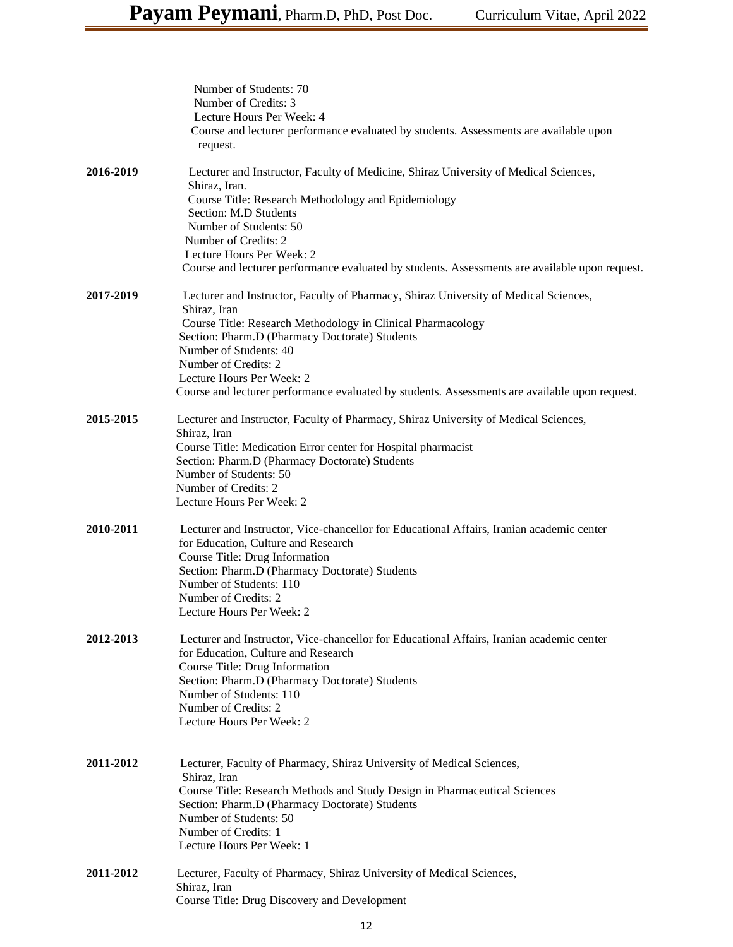|           | Number of Students: 70<br>Number of Credits: 3<br>Lecture Hours Per Week: 4<br>Course and lecturer performance evaluated by students. Assessments are available upon<br>request.                                                                                                                                                                                                                       |
|-----------|--------------------------------------------------------------------------------------------------------------------------------------------------------------------------------------------------------------------------------------------------------------------------------------------------------------------------------------------------------------------------------------------------------|
| 2016-2019 | Lecturer and Instructor, Faculty of Medicine, Shiraz University of Medical Sciences,<br>Shiraz, Iran.<br>Course Title: Research Methodology and Epidemiology<br>Section: M.D Students<br>Number of Students: 50<br>Number of Credits: 2<br>Lecture Hours Per Week: 2<br>Course and lecturer performance evaluated by students. Assessments are available upon request.                                 |
| 2017-2019 | Lecturer and Instructor, Faculty of Pharmacy, Shiraz University of Medical Sciences,<br>Shiraz, Iran<br>Course Title: Research Methodology in Clinical Pharmacology<br>Section: Pharm.D (Pharmacy Doctorate) Students<br>Number of Students: 40<br>Number of Credits: 2<br>Lecture Hours Per Week: 2<br>Course and lecturer performance evaluated by students. Assessments are available upon request. |
| 2015-2015 | Lecturer and Instructor, Faculty of Pharmacy, Shiraz University of Medical Sciences,<br>Shiraz, Iran<br>Course Title: Medication Error center for Hospital pharmacist<br>Section: Pharm.D (Pharmacy Doctorate) Students<br>Number of Students: 50<br>Number of Credits: 2<br>Lecture Hours Per Week: 2                                                                                                 |
| 2010-2011 | Lecturer and Instructor, Vice-chancellor for Educational Affairs, Iranian academic center<br>for Education, Culture and Research<br>Course Title: Drug Information<br>Section: Pharm.D (Pharmacy Doctorate) Students<br>Number of Students: 110<br>Number of Credits: 2<br>Lecture Hours Per Week: 2                                                                                                   |
| 2012-2013 | Lecturer and Instructor, Vice-chancellor for Educational Affairs, Iranian academic center<br>for Education, Culture and Research<br>Course Title: Drug Information<br>Section: Pharm.D (Pharmacy Doctorate) Students<br>Number of Students: 110<br>Number of Credits: 2<br>Lecture Hours Per Week: 2                                                                                                   |
| 2011-2012 | Lecturer, Faculty of Pharmacy, Shiraz University of Medical Sciences,<br>Shiraz, Iran<br>Course Title: Research Methods and Study Design in Pharmaceutical Sciences<br>Section: Pharm.D (Pharmacy Doctorate) Students<br>Number of Students: 50<br>Number of Credits: 1<br>Lecture Hours Per Week: 1                                                                                                   |
| 2011-2012 | Lecturer, Faculty of Pharmacy, Shiraz University of Medical Sciences,<br>Shiraz, Iran<br>Course Title: Drug Discovery and Development                                                                                                                                                                                                                                                                  |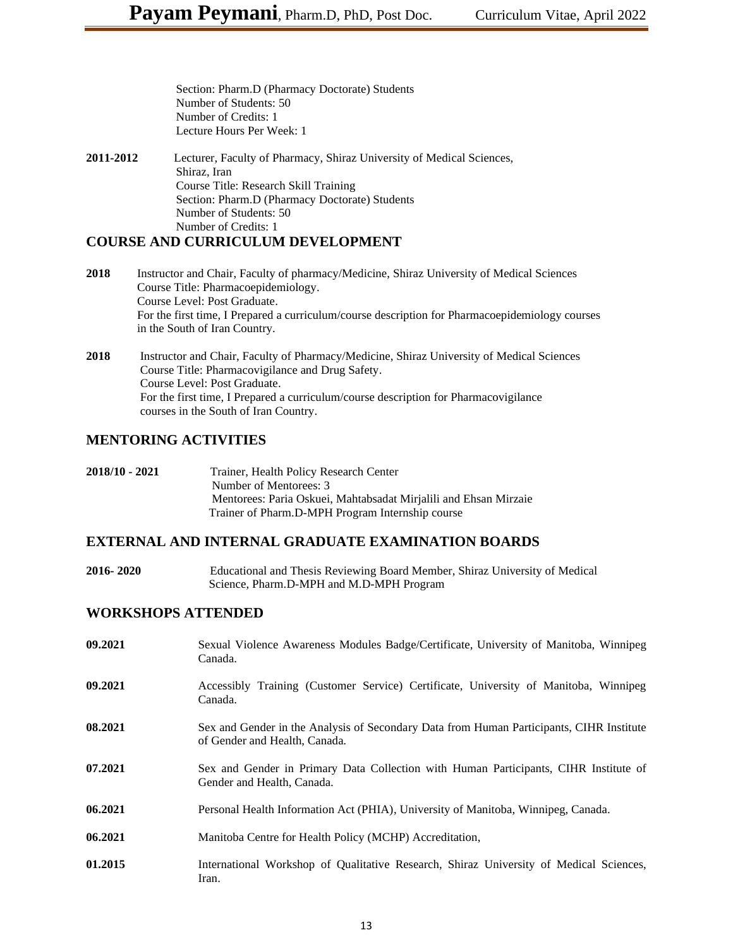Section: Pharm.D (Pharmacy Doctorate) Students Number of Students: 50 Number of Credits: 1 Lecture Hours Per Week: 1

**2011-2012** Lecturer, Faculty of Pharmacy, Shiraz University of Medical Sciences, Shiraz, Iran Course Title: Research Skill Training Section: Pharm.D (Pharmacy Doctorate) Students Number of Students: 50 Number of Credits: 1

#### **COURSE AND CURRICULUM DEVELOPMENT**

- **2018** Instructor and Chair, Faculty of pharmacy/Medicine, Shiraz University of Medical Sciences Course Title: Pharmacoepidemiology. Course Level: Post Graduate. For the first time, I Prepared a curriculum/course description for Pharmacoepidemiology courses in the South of Iran Country.
- **2018** Instructor and Chair, Faculty of Pharmacy/Medicine, Shiraz University of Medical Sciences Course Title: Pharmacovigilance and Drug Safety. Course Level: Post Graduate. For the first time, I Prepared a curriculum/course description for Pharmacovigilance courses in the South of Iran Country.

## **MENTORING ACTIVITIES**

| 2018/10 - 2021 | Trainer, Health Policy Research Center                           |
|----------------|------------------------------------------------------------------|
|                | Number of Mentorees: 3                                           |
|                | Mentorees: Paria Oskuei, Mahtabsadat Mirjalili and Ehsan Mirzaie |
|                | Trainer of Pharm.D-MPH Program Internship course                 |

# **EXTERNAL AND INTERNAL GRADUATE EXAMINATION BOARDS**

**2016- 2020** Educational and Thesis Reviewing Board Member, Shiraz University of Medical Science, Pharm.D-MPH and M.D-MPH Program

#### **WORKSHOPS ATTENDED**

| 09.2021 | Sexual Violence Awareness Modules Badge/Certificate, University of Manitoba, Winnipeg<br>Canada.                          |
|---------|---------------------------------------------------------------------------------------------------------------------------|
| 09.2021 | Accessibly Training (Customer Service) Certificate, University of Manitoba, Winnipeg<br>Canada.                           |
| 08.2021 | Sex and Gender in the Analysis of Secondary Data from Human Participants, CIHR Institute<br>of Gender and Health, Canada. |
| 07.2021 | Sex and Gender in Primary Data Collection with Human Participants, CIHR Institute of<br>Gender and Health, Canada.        |
| 06.2021 | Personal Health Information Act (PHIA), University of Manitoba, Winnipeg, Canada.                                         |
| 06.2021 | Manitoba Centre for Health Policy (MCHP) Accreditation,                                                                   |
| 01.2015 | International Workshop of Qualitative Research, Shiraz University of Medical Sciences,<br>Iran.                           |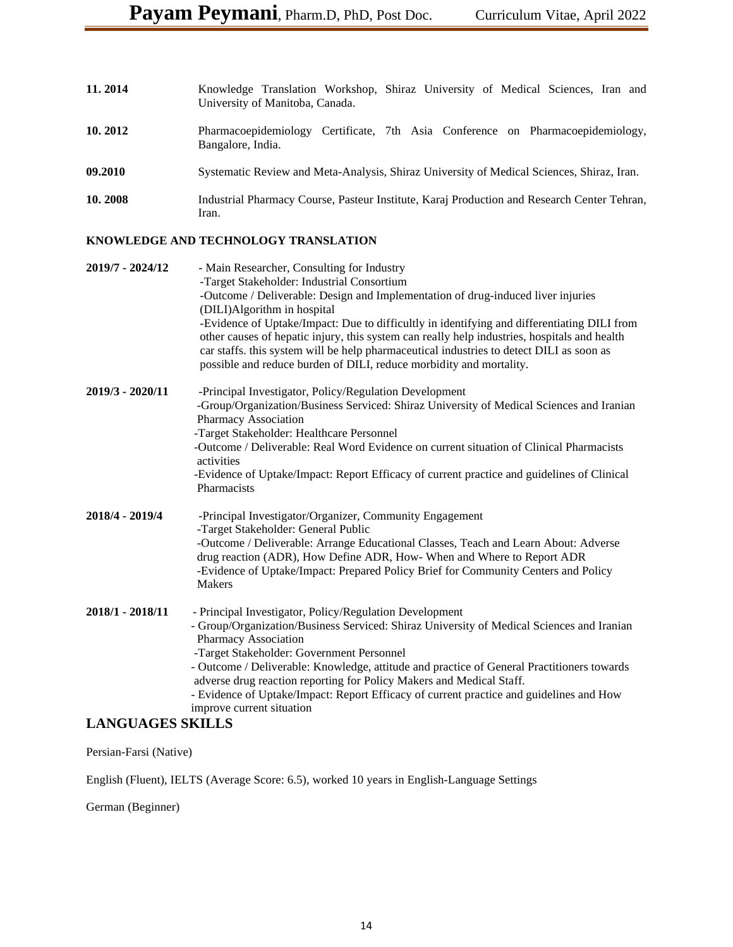| 11.2014 | Knowledge Translation Workshop, Shiraz University of Medical Sciences, Iran and<br>University of Manitoba, Canada. |
|---------|--------------------------------------------------------------------------------------------------------------------|
| 10.2012 | Pharmacoepidemiology Certificate, 7th Asia Conference on Pharmacoepidemiology,<br>Bangalore, India.                |
| 09.2010 | Systematic Review and Meta-Analysis, Shiraz University of Medical Sciences, Shiraz, Iran.                          |
| 10.2008 | Industrial Pharmacy Course, Pasteur Institute, Karaj Production and Research Center Tehran,<br>Iran.               |

#### **KNOWLEDGE AND TECHNOLOGY TRANSLATION**

| 2019/7 - 2024/12 | - Main Researcher, Consulting for Industry<br>-Target Stakeholder: Industrial Consortium<br>-Outcome / Deliverable: Design and Implementation of drug-induced liver injuries<br>(DILI)Algorithm in hospital<br>-Evidence of Uptake/Impact: Due to difficultly in identifying and differentiating DILI from<br>other causes of hepatic injury, this system can really help industries, hospitals and health<br>car staffs. this system will be help pharmaceutical industries to detect DILI as soon as<br>possible and reduce burden of DILI, reduce morbidity and mortality. |
|------------------|-------------------------------------------------------------------------------------------------------------------------------------------------------------------------------------------------------------------------------------------------------------------------------------------------------------------------------------------------------------------------------------------------------------------------------------------------------------------------------------------------------------------------------------------------------------------------------|
| 2019/3 - 2020/11 | -Principal Investigator, Policy/Regulation Development<br>-Group/Organization/Business Serviced: Shiraz University of Medical Sciences and Iranian<br>Pharmacy Association<br>-Target Stakeholder: Healthcare Personnel<br>-Outcome / Deliverable: Real Word Evidence on current situation of Clinical Pharmacists<br>activities<br>-Evidence of Uptake/Impact: Report Efficacy of current practice and guidelines of Clinical<br>Pharmacists                                                                                                                                 |
| 2018/4 - 2019/4  | -Principal Investigator/Organizer, Community Engagement<br>-Target Stakeholder: General Public<br>-Outcome / Deliverable: Arrange Educational Classes, Teach and Learn About: Adverse<br>drug reaction (ADR), How Define ADR, How- When and Where to Report ADR<br>-Evidence of Uptake/Impact: Prepared Policy Brief for Community Centers and Policy<br><b>Makers</b>                                                                                                                                                                                                        |
| 2018/1 - 2018/11 | - Principal Investigator, Policy/Regulation Development<br>- Group/Organization/Business Serviced: Shiraz University of Medical Sciences and Iranian<br>Pharmacy Association<br>-Target Stakeholder: Government Personnel<br>- Outcome / Deliverable: Knowledge, attitude and practice of General Practitioners towards<br>adverse drug reaction reporting for Policy Makers and Medical Staff.<br>- Evidence of Uptake/Impact: Report Efficacy of current practice and guidelines and How<br>improve current situation                                                       |

#### **LANGUAGES SKILLS**

Persian-Farsi (Native)

English (Fluent), IELTS (Average Score: 6.5), worked 10 years in English-Language Settings

German (Beginner)